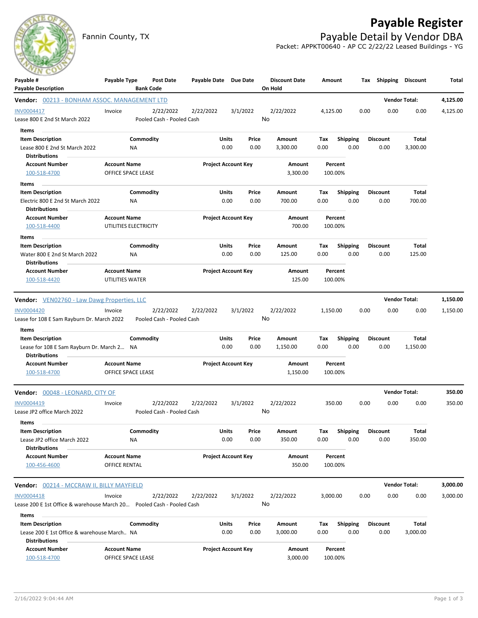Fannin County, TX **Payable Detail by Vendor DBA** 

## **Payable Register**



Packet: APPKT00640 - AP CC 2/22/22 Leased Buildings - YG

| $\sim$<br>Payable #                                                                           | Payable Type                                 | Post Date                              | Payable Date Due Date      |                                | <b>Discount Date</b>    | Amount             |                         |      | Tax Shipping Discount   |                      | Total    |
|-----------------------------------------------------------------------------------------------|----------------------------------------------|----------------------------------------|----------------------------|--------------------------------|-------------------------|--------------------|-------------------------|------|-------------------------|----------------------|----------|
| <b>Payable Description</b>                                                                    |                                              | <b>Bank Code</b>                       |                            |                                | On Hold                 |                    |                         |      |                         |                      |          |
| Vendor: 00213 - BONHAM ASSOC. MANAGEMENT LTD                                                  |                                              |                                        |                            |                                |                         |                    |                         |      |                         | <b>Vendor Total:</b> | 4,125.00 |
| INV0004417<br>Lease 800 E 2nd St March 2022                                                   | Invoice                                      | 2/22/2022<br>Pooled Cash - Pooled Cash | 2/22/2022                  | 3/1/2022                       | 2/22/2022<br>No         | 4,125.00           |                         | 0.00 | 0.00                    | 0.00                 | 4,125.00 |
| Items                                                                                         |                                              |                                        |                            |                                |                         |                    |                         |      |                         | Total                |          |
| <b>Item Description</b><br>Lease 800 E 2nd St March 2022<br><b>Distributions</b>              | NA                                           | Commodity                              |                            | Units<br>Price<br>0.00<br>0.00 | Amount<br>3,300.00      | Tax<br>0.00        | <b>Shipping</b><br>0.00 |      | <b>Discount</b><br>0.00 | 3,300.00             |          |
| <b>Account Number</b><br>100-518-4700                                                         | <b>Account Name</b><br>OFFICE SPACE LEASE    |                                        |                            | <b>Project Account Key</b>     | Amount<br>3,300.00      | Percent<br>100.00% |                         |      |                         |                      |          |
| Items                                                                                         |                                              |                                        |                            |                                |                         |                    |                         |      |                         |                      |          |
| <b>Item Description</b><br>Electric 800 E 2nd St March 2022<br><b>Distributions</b>           | NA                                           | Commodity                              |                            | Units<br>Price<br>0.00<br>0.00 | Amount<br>700.00        | Тах<br>0.00        | Shipping<br>0.00        |      | <b>Discount</b><br>0.00 | Total<br>700.00      |          |
| <b>Account Number</b><br>100-518-4400                                                         | <b>Account Name</b><br>UTILITIES ELECTRICITY |                                        | <b>Project Account Key</b> |                                | Amount<br>700.00        | Percent<br>100.00% |                         |      |                         |                      |          |
| Items                                                                                         |                                              |                                        |                            |                                |                         |                    |                         |      |                         |                      |          |
| <b>Item Description</b><br>Water 800 E 2nd St March 2022<br><b>Distributions</b>              | NA                                           | Commodity                              |                            | Units<br>Price<br>0.00<br>0.00 | Amount<br>125.00        | Tax<br>0.00        | <b>Shipping</b><br>0.00 |      | <b>Discount</b><br>0.00 | Total<br>125.00      |          |
| <b>Account Number</b><br>100-518-4420                                                         | <b>Account Name</b><br>UTILITIES WATER       |                                        |                            | <b>Project Account Key</b>     | <b>Amount</b><br>125.00 | Percent<br>100.00% |                         |      |                         |                      |          |
| <b>Vendor:</b> VEN02760 - Law Dawg Properties, LLC                                            |                                              |                                        |                            |                                |                         |                    |                         |      | <b>Vendor Total:</b>    |                      | 1,150.00 |
| <b>INV0004420</b>                                                                             | Invoice                                      | 2/22/2022                              | 2/22/2022                  | 3/1/2022                       | 2/22/2022               | 1,150.00           |                         | 0.00 | 0.00                    | 0.00                 | 1,150.00 |
| Lease for 108 E Sam Rayburn Dr. March 2022<br>Items                                           |                                              | Pooled Cash - Pooled Cash              |                            |                                | No                      |                    |                         |      |                         |                      |          |
| <b>Item Description</b><br>Lease for 108 E Sam Rayburn Dr. March 2 NA<br><b>Distributions</b> |                                              | Commodity                              | Units                      | Price<br>0.00<br>0.00          | Amount<br>1,150.00      | Tax<br>0.00        | Shipping<br>0.00        |      | <b>Discount</b><br>0.00 | Total<br>1,150.00    |          |
| <b>Account Number</b>                                                                         | <b>Account Name</b>                          |                                        |                            | <b>Project Account Key</b>     | Amount                  | Percent            |                         |      |                         |                      |          |
| 100-518-4700                                                                                  | OFFICE SPACE LEASE                           |                                        |                            |                                | 1,150.00                | 100.00%            |                         |      |                         |                      |          |
| Vendor: 00048 - LEONARD, CITY OF                                                              |                                              |                                        |                            |                                |                         |                    |                         |      |                         | <b>Vendor Total:</b> | 350.00   |
| INV0004419                                                                                    | Invoice                                      | 2/22/2022                              | 2/22/2022                  | 3/1/2022                       | 2/22/2022               | 350.00             |                         | 0.00 | 0.00                    | 0.00                 | 350.00   |
| Lease JP2 office March 2022                                                                   |                                              | Pooled Cash - Pooled Cash              |                            |                                | No                      |                    |                         |      |                         |                      |          |
| Items                                                                                         |                                              |                                        |                            |                                |                         |                    |                         |      |                         |                      |          |
| <b>Item Description</b><br>Lease JP2 office March 2022<br><b>Distributions</b>                | NA                                           | Commodity                              |                            | Units<br>Price<br>0.00<br>0.00 | Amount<br>350.00        | Тах<br>0.00        | <b>Shipping</b><br>0.00 |      | <b>Discount</b><br>0.00 | Total<br>350.00      |          |
| <b>Account Number</b><br>100-456-4600                                                         | <b>Account Name</b><br>OFFICE RENTAL         |                                        |                            | <b>Project Account Key</b>     | Amount<br>350.00        | Percent<br>100.00% |                         |      |                         |                      |          |
| <b>Vendor:</b> 00214 - MCCRAW II, BILLY MAYFIELD                                              |                                              |                                        |                            |                                |                         |                    |                         |      |                         | <b>Vendor Total:</b> | 3,000.00 |
| <b>INV0004418</b>                                                                             | Invoice                                      | 2/22/2022                              | 2/22/2022                  | 3/1/2022                       | 2/22/2022               | 3,000.00           |                         | 0.00 | 0.00                    | 0.00                 | 3,000.00 |
| Lease 200 E 1st Office & warehouse March 20 Pooled Cash - Pooled Cash                         |                                              |                                        |                            |                                | No                      |                    |                         |      |                         |                      |          |
| Items                                                                                         |                                              |                                        |                            |                                |                         |                    |                         |      |                         |                      |          |
| <b>Item Description</b>                                                                       |                                              | Commodity                              |                            | Units<br>Price                 | Amount                  | Tax                | <b>Shipping</b>         |      | <b>Discount</b>         | <b>Total</b>         |          |
| Lease 200 E 1st Office & warehouse March NA<br><b>Distributions</b>                           |                                              |                                        |                            | 0.00<br>0.00                   | 3,000.00                | 0.00               | 0.00                    |      | 0.00                    | 3,000.00             |          |
| <b>Account Number</b>                                                                         | <b>Account Name</b>                          |                                        |                            | <b>Project Account Key</b>     | Amount                  | Percent            |                         |      |                         |                      |          |
| 100-518-4700                                                                                  | OFFICE SPACE LEASE                           |                                        |                            |                                | 3,000.00                | 100.00%            |                         |      |                         |                      |          |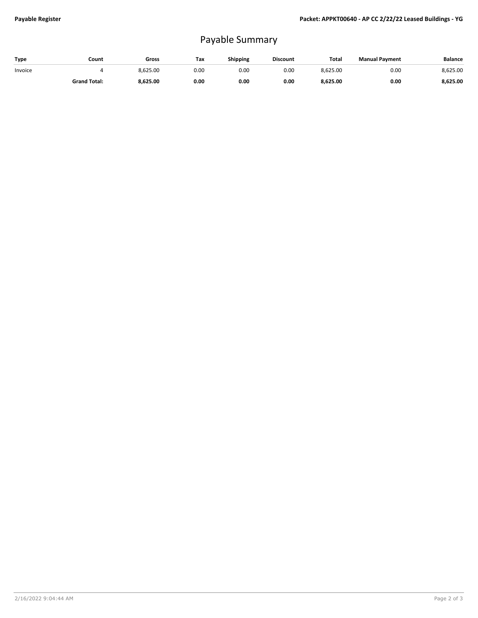## Payable Summary

| Type    | Count               | Gross    | Tax  | <b>Shipping</b> | <b>Discount</b> | <b>Total</b> | <b>Manual Payment</b> | <b>Balance</b> |
|---------|---------------------|----------|------|-----------------|-----------------|--------------|-----------------------|----------------|
| Invoice |                     | 8.625.00 | 0.00 | 0.OC            | 0.00            | 8,625.00     | 0.00                  | 8,625.00       |
|         | <b>Grand Total:</b> | 8,625.00 | 0.00 | 0.00            | 0.00            | 8,625.00     | 0.00                  | 8,625.00       |